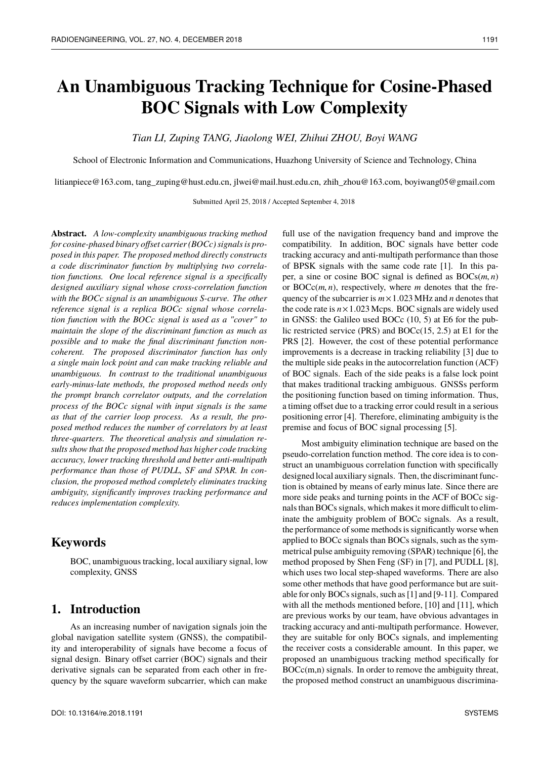# **An Unambiguous Tracking Technique for Cosine-Phased BOC Signals with Low Complexity**

*Tian LI, Zuping TANG, Jiaolong WEI, Zhihui ZHOU, Boyi WANG*

School of Electronic Information and Communications, Huazhong University of Science and Technology, China

litianpiece@163.com, tang\_zuping@hust.edu.cn, jlwei@mail.hust.edu.cn, zhih\_zhou@163.com, boyiwang05@gmail.com

Submitted April 25, 2018 / Accepted September 4, 2018

**Abstract.** *A low-complexity unambiguous tracking method for cosine-phased binary offset carrier (BOCc) signals is proposed in this paper. The proposed method directly constructs a code discriminator function by multiplying two correlation functions. One local reference signal is a specifically designed auxiliary signal whose cross-correlation function with the BOCc signal is an unambiguous S-curve. The other reference signal is a replica BOCc signal whose correlation function with the BOCc signal is used as a "cover" to maintain the slope of the discriminant function as much as possible and to make the final discriminant function noncoherent. The proposed discriminator function has only a single main lock point and can make tracking reliable and unambiguous. In contrast to the traditional unambiguous early-minus-late methods, the proposed method needs only the prompt branch correlator outputs, and the correlation process of the BOCc signal with input signals is the same as that of the carrier loop process. As a result, the proposed method reduces the number of correlators by at least three-quarters. The theoretical analysis and simulation results show that the proposed method has higher code tracking accuracy, lower tracking threshold and better anti-multipath performance than those of PUDLL, SF and SPAR. In conclusion, the proposed method completely eliminates tracking ambiguity, significantly improves tracking performance and reduces implementation complexity.*

### **Keywords**

BOC, unambiguous tracking, local auxiliary signal, low complexity, GNSS

### **1. Introduction**

As an increasing number of navigation signals join the global navigation satellite system (GNSS), the compatibility and interoperability of signals have become a focus of signal design. Binary offset carrier (BOC) signals and their derivative signals can be separated from each other in frequency by the square waveform subcarrier, which can make

full use of the navigation frequency band and improve the compatibility. In addition, BOC signals have better code tracking accuracy and anti-multipath performance than those of BPSK signals with the same code rate [1]. In this paper, a sine or cosine BOC signal is defined as BOCs(*m*, *<sup>n</sup>*) or BOCc(*m*, *<sup>n</sup>*), respectively, where *<sup>m</sup>* denotes that the frequency of the subcarrier is *<sup>m</sup>*×1.<sup>023</sup> MHz and *<sup>n</sup>* denotes that the code rate is  $n \times 1.023$  Mcps. BOC signals are widely used in GNSS: the Galileo used BOCc (10, 5) at E6 for the public restricted service (PRS) and BOCc(15, 2.5) at E1 for the PRS [2]. However, the cost of these potential performance improvements is a decrease in tracking reliability [3] due to the multiple side peaks in the autocorrelation function (ACF) of BOC signals. Each of the side peaks is a false lock point that makes traditional tracking ambiguous. GNSSs perform the positioning function based on timing information. Thus, a timing offset due to a tracking error could result in a serious positioning error [4]. Therefore, eliminating ambiguity is the premise and focus of BOC signal processing [5].

Most ambiguity elimination technique are based on the pseudo-correlation function method. The core idea is to construct an unambiguous correlation function with specifically designed local auxiliary signals. Then, the discriminant function is obtained by means of early minus late. Since there are more side peaks and turning points in the ACF of BOCc signals than BOCs signals, which makes it more difficult to eliminate the ambiguity problem of BOCc signals. As a result, the performance of some methods is significantly worse when applied to BOCc signals than BOCs signals, such as the symmetrical pulse ambiguity removing (SPAR) technique [6], the method proposed by Shen Feng (SF) in [7], and PUDLL [8], which uses two local step-shaped waveforms. There are also some other methods that have good performance but are suitable for only BOCs signals, such as [1] and [9-11]. Compared with all the methods mentioned before, [10] and [11], which are previous works by our team, have obvious advantages in tracking accuracy and anti-multipath performance. However, they are suitable for only BOCs signals, and implementing the receiver costs a considerable amount. In this paper, we proposed an unambiguous tracking method specifically for BOCc(m,n) signals. In order to remove the ambiguity threat, the proposed method construct an unambiguous discrimina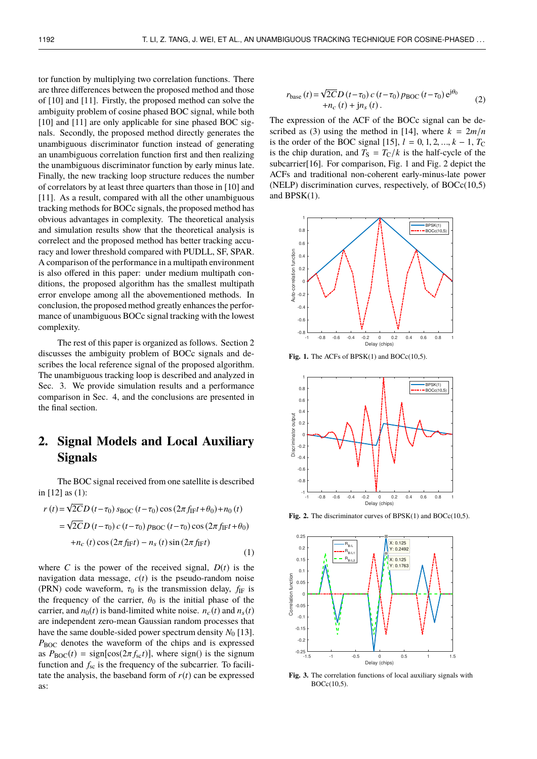tor function by multiplying two correlation functions. There are three differences between the proposed method and those of [10] and [11]. Firstly, the proposed method can solve the ambiguity problem of cosine phased BOC signal, while both [10] and [11] are only applicable for sine phased BOC signals. Secondly, the proposed method directly generates the unambiguous discriminator function instead of generating an unambiguous correlation function first and then realizing the unambiguous discriminator function by early minus late. Finally, the new tracking loop structure reduces the number of correlators by at least three quarters than those in [10] and [11]. As a result, compared with all the other unambiguous tracking methods for BOCc signals, the proposed method has obvious advantages in complexity. The theoretical analysis and simulation results show that the theoretical analysis is correlect and the proposed method has better tracking accuracy and lower threshold compared with PUDLL, SF, SPAR. A comparison of the performance in a multipath environment is also offered in this paper: under medium multipath conditions, the proposed algorithm has the smallest multipath error envelope among all the abovementioned methods. In conclusion, the proposed method greatly enhances the performance of unambiguous BOCc signal tracking with the lowest complexity.

The rest of this paper is organized as follows. Section 2 discusses the ambiguity problem of BOCc signals and describes the local reference signal of the proposed algorithm. The unambiguous tracking loop is described and analyzed in Sec. 3. We provide simulation results and a performance comparison in Sec. 4, and the conclusions are presented in the final section.

### **2. Signal Models and Local Auxiliary Signals**

The BOC signal received from one satellite is described in [12] as (1): √

$$
r(t) = \sqrt{2CD} (t - \tau_0) s_{BOC} (t - \tau_0) \cos (2\pi f_{IF} t + \theta_0) + n_0(t)
$$
  
=  $\sqrt{2CD} (t - \tau_0) c (t - \tau_0) p_{BOC} (t - \tau_0) \cos (2\pi f_{IF} t + \theta_0)$   
+  $n_c(t) \cos (2\pi f_{IF} t) - n_s(t) \sin (2\pi f_{IF} t)$  (1)

where *C* is the power of the received signal,  $D(t)$  is the navigation data message,  $c(t)$  is the pseudo-random noise (PRN) code waveform,  $\tau_0$  is the transmission delay,  $f_{IF}$  is the frequency of the carrier,  $\theta_0$  is the initial phase of the carrier, and  $n_0(t)$  is band-limited white noise.  $n_c(t)$  and  $n_s(t)$ are independent zero-mean Gaussian random processes that have the same double-sided power spectrum density  $N_0$  [13]. *P*BOC denotes the waveform of the chips and is expressed as  $P_{\text{BOC}}(t) = \text{sign}[\cos(2\pi f_{\text{sc}}t)]$ , where sign() is the signum function and  $f_{\rm sc}$  is the frequency of the subcarrier. To facilitate the analysis, the baseband form of  $r(t)$  can be expressed as:

$$
r_{\text{base}}(t) = \sqrt{2CD} \left( t - \tau_0 \right) c \left( t - \tau_0 \right) p_{\text{BOC}} \left( t - \tau_0 \right) e^{j\theta_0}
$$
  
+ 
$$
n_c(t) + j n_s(t).
$$
 (2)

The expression of the ACF of the BOCc signal can be described as (3) using the method in [14], where  $k = 2m/n$ is the order of the BOC signal [15],  $l = 0, 1, 2, ..., k - 1, T_C$ is the chip duration, and  $T_S = T_C/k$  is the half-cycle of the subcarrier[16]. For comparison, Fig. 1 and Fig. 2 depict the ACFs and traditional non-coherent early-minus-late power (NELP) discrimination curves, respectively, of BOCc(10,5) and BPSK(1).



**Fig. 1.** The ACFs of  $BPSK(1)$  and  $BOCc(10,5)$ .



Fig. 2. The discriminator curves of BPSK(1) and BOCc(10,5).



**Fig. 3.** The correlation functions of local auxiliary signals with BOCc(10,5).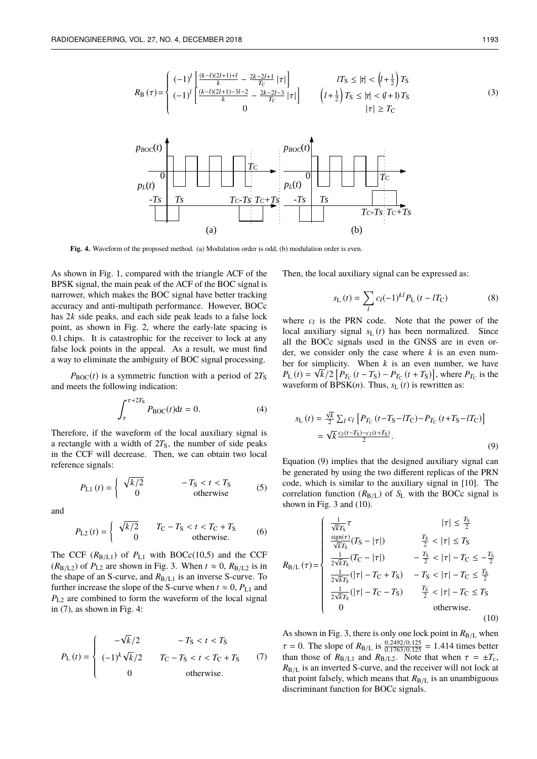

**Fig. 4.** Waveform of the proposed method. (a) Modulation order is odd, (b) modulation order is even.

As shown in Fig. 1, compared with the triangle ACF of the BPSK signal, the main peak of the ACF of the BOC signal is narrower, which makes the BOC signal have better tracking accuracy and anti-multipath performance. However, BOCc has 2*k* side peaks, and each side peak leads to a false lock point, as shown in Fig. 2, where the early-late spacing is 0.1 chips. It is catastrophic for the receiver to lock at any false lock points in the appeal. As a result, we must find a way to eliminate the ambiguity of BOC signal processing.

 $P_{\text{BOC}}(t)$  is a symmetric function with a period of  $2T_{\text{S}}$ and meets the following indication:

$$
\int_{\tau}^{\tau+2T_{\rm S}} P_{\rm BOC}(t) \mathrm{d}t = 0. \tag{4}
$$

Therefore, if the waveform of the local auxiliary signal is a rectangle with a width of  $2T<sub>S</sub>$ , the number of side peaks in the CCF will decrease. Then, we can obtain two local reference signals:

$$
P_{L1}(t) = \begin{cases} \sqrt{k/2} & -T_{\rm S} < t < T_{\rm S} \\ 0 & \text{otherwise} \end{cases}
$$
 (5)

and

$$
P_{L2}(t) = \begin{cases} \sqrt{k/2} & T_{C} - T_{S} < t < T_{C} + T_{S} \\ 0 & \text{otherwise.} \end{cases}
$$
 (6)

The CCF  $(R_{B/L1})$  of  $P_{L1}$  with BOCc(10,5) and the CCF  $(R_{B/L2})$  of  $P_{L2}$  are shown in Fig. 3. When  $t \approx 0$ ,  $R_{B/L2}$  is in the shape of an S-curve, and  $R_{B/L1}$  is an inverse S-curve. To further increase the slope of the S-curve when  $t \approx 0$ ,  $P_{L1}$  and *P*L2 are combined to form the waveform of the local signal in  $(7)$ , as shown in Fig. 4:

$$
P_{\rm L}(t) = \begin{cases} -\sqrt{k}/2 & -T_{\rm S} < t < T_{\rm S} \\ (-1)^k \sqrt{k}/2 & T_{\rm C} - T_{\rm S} < t < T_{\rm C} + T_{\rm S} \\ 0 & \text{otherwise.} \end{cases}
$$
 (7)

Then, the local auxiliary signal can be expressed as:

$$
s_{\rm L}(t) = \sum_{l} c_{l} (-1)^{kl} P_{\rm L}(t - lT_{\rm C})
$$
 (8)

where  $c_l$  is the PRN code. Note that the power of the local auxiliary signal  $s_L (t)$  has been normalized. Since all the BOCc signals used in the GNSS are in even order, we consider only the case where  $k$  is an even number for simplicity. When  $k$  is an even number, we have  $P_{\text{L}}(t) = \sqrt{k/2} [P_{T_{\text{C}}}(t - T_{\text{S}}) - P_{T_{\text{C}}}(t + T_{\text{S}})]$ , where  $P_{T_{\text{C}}}$  is the waveform of  $BPSK(n)$ . Thus,  $s<sub>L</sub>(t)$  is rewritten as:

$$
s_{\rm L}(t) = \frac{\sqrt{k}}{2} \sum_{l} c_{l} \left[ P_{T_{\rm C}}(t - T_{\rm S} - lT_{\rm C}) - P_{T_{\rm C}}(t + T_{\rm S} - lT_{\rm C}) \right]
$$
  
=  $\sqrt{k} \frac{c_{l}(t - T_{\rm S}) - c_{l}(t + T_{\rm S})}{2}$ . (9)

Equation (9) implies that the designed auxiliary signal can be generated by using the two different replicas of the PRN code, which is similar to the auxiliary signal in [10]. The correlation function  $(R_{B/L})$  of  $S_L$  with the BOCc signal is shown in Fig. 3 and (10).

$$
R_{B/L}(\tau) = \begin{cases} \frac{1}{\sqrt{k}T_S}\tau & |\tau| \le \frac{T_S}{2} \\ \frac{\text{sign}(\tau)}{\sqrt{k}T_S}(T_S - |\tau|) & \frac{T_S}{2} < |\tau| \le T_S \\ \frac{1}{2\sqrt{k}T_S}(T_C - |\tau|) & -\frac{T_S}{2} < |\tau| - T_C \le -\frac{T_S}{2} \\ \frac{1}{2\sqrt{k}T_S}(|\tau| - T_C + T_S) & -T_S < |\tau| - T_C \le \frac{T_S}{2} \\ \frac{1}{2\sqrt{k}T_S}(|\tau| - T_C - T_S) & \frac{T_S}{2} < |\tau| - T_C \le T_S \\ 0 & \text{otherwise.} \end{cases}
$$
(10)

As shown in Fig. 3, there is only one lock point in  $R_{B/L}$  when  $\tau = 0$ . The slope of  $R_{B/L}$  is  $\frac{0.2492/0.125}{0.1763/0.125} = 1.414$  times better than those of  $R_{B/L}$  and  $R_{B/L}$ . Note that when  $\tau = +T$ . than those of  $R_{B/L1}$  and  $R_{B/L2}$ . Note that when  $\tau = \pm T_c$ ,<br> $R_{B/L1}$  is an inverted S-curve, and the receiver will not lock at  $R_{B/L}$  is an inverted S-curve, and the receiver will not lock at that point falsely, which means that  $R_{B/L}$  is an unambiguous discriminant function for BOCc signals.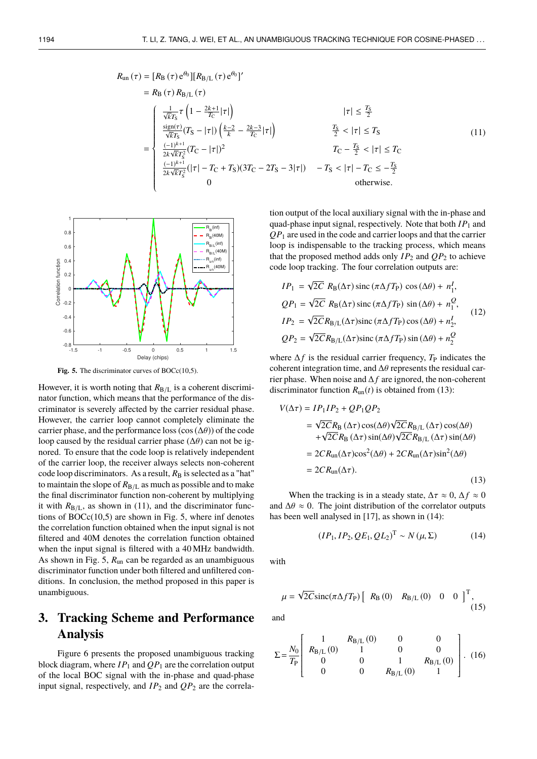$$
R_{un}(\tau) = [R_{B}(\tau) e^{\theta_{0}}] [R_{B/L}(\tau) e^{\theta_{0}}]'
$$
  
\n
$$
= R_{B}(\tau) R_{B/L}(\tau)
$$
  
\n
$$
\begin{cases}\n\frac{1}{\sqrt{k}T_{S}} \tau \left(1 - \frac{2k+1}{T_{C}}|\tau|\right) & |\tau| \leq \frac{T_{S}}{2} \\
\frac{\text{sign}(\tau)}{\sqrt{k}T_{S}} (T_{S} - |\tau|) \left(\frac{k-2}{k} - \frac{2k-3}{T_{C}}|\tau|\right) & \frac{T_{S}}{2} < |\tau| \leq T_{S} \\
\frac{(-1)^{k+1}}{2k\sqrt{k}T_{S}^{2}} (T_{C} - |\tau|)^{2} & T_{C} - \frac{T_{S}}{2} < |\tau| \leq T_{C} \\
\frac{(-1)^{k+1}}{2k\sqrt{k}T_{S}^{2}} (|\tau| - T_{C} + T_{S})(3T_{C} - 2T_{S} - 3|\tau|) & -T_{S} < |\tau| - T_{C} \leq -\frac{T_{S}}{2} \\
0 & \text{otherwise.} \n\end{cases}
$$
\n(11)



J.

Fig. 5. The discriminator curves of BOCc(10,5).

However, it is worth noting that  $R_{B/L}$  is a coherent discriminator function, which means that the performance of the discriminator is severely affected by the carrier residual phase. However, the carrier loop cannot completely eliminate the carrier phase, and the performance loss (cos  $(\Delta\theta)$ ) of the code loop caused by the residual carrier phase ( $\Delta\theta$ ) can not be ignored. To ensure that the code loop is relatively independent of the carrier loop, the receiver always selects non-coherent code loop discriminators. As a result,  $R_B$  is selected as a "hat" to maintain the slope of  $R_{B/L}$  as much as possible and to make the final discriminator function non-coherent by multiplying it with  $R_{B/L}$ , as shown in (11), and the discriminator functions of BOCc(10,5) are shown in Fig. 5, where inf denotes the correlation function obtained when the input signal is not filtered and 40M denotes the correlation function obtained when the input signal is filtered with a 40 MHz bandwidth. As shown in Fig. 5, *R*un can be regarded as an unambiguous discriminator function under both filtered and unfiltered conditions. In conclusion, the method proposed in this paper is unambiguous.

## **3. Tracking Scheme and Performance Analysis**

Figure 6 presents the proposed unambiguous tracking block diagram, where  $IP_1$  and  $QP_1$  are the correlation output of the local BOC signal with the in-phase and quad-phase input signal, respectively, and  $IP_2$  and  $QP_2$  are the correlation output of the local auxiliary signal with the in-phase and quad-phase input signal, respectively. Note that both *IP*<sup>1</sup> and *QP*<sup>1</sup> are used in the code and carrier loops and that the carrier loop is indispensable to the tracking process, which means that the proposed method adds only  $IP_2$  and  $OP_2$  to achieve code loop tracking. The four correlation outputs are:

$$
IP_1 = \sqrt{2C} R_{\text{B}}(\Delta \tau) \operatorname{sinc} (\pi \Delta f T_{\text{P}}) \cos (\Delta \theta) + n_1^I,
$$
  
\n
$$
QP_1 = \sqrt{2C} R_{\text{B}}(\Delta \tau) \operatorname{sinc} (\pi \Delta f T_{\text{P}}) \sin (\Delta \theta) + n_1^Q,
$$
  
\n
$$
IP_2 = \sqrt{2C} R_{\text{B/L}}(\Delta \tau) \operatorname{sinc} (\pi \Delta f T_{\text{P}}) \cos (\Delta \theta) + n_2^I,
$$
  
\n
$$
QP_2 = \sqrt{2C} R_{\text{B/L}}(\Delta \tau) \operatorname{sinc} (\pi \Delta f T_{\text{P}}) \sin (\Delta \theta) + n_2^Q
$$
 (12)

where  $\Delta f$  is the residual carrier frequency,  $T_P$  indicates the coherent integration time, and <sup>∆</sup>θ represents the residual carrier phase. When noise and ∆ *f* are ignored, the non-coherent discriminator function  $R_{\text{un}}(t)$  is obtained from (13):

$$
V(\Delta \tau) = IP_1IP_2 + QP_1QP_2
$$
  
=  $\sqrt{2C}R_B(\Delta \tau) \cos(\Delta \theta) \sqrt{2C}R_{B/L}(\Delta \tau) \cos(\Delta \theta)$   
+  $\sqrt{2C}R_B(\Delta \tau) \sin(\Delta \theta) \sqrt{2C}R_{B/L}(\Delta \tau) \sin(\Delta \theta)$   
=  $2C R_{un}(\Delta \tau) \cos^2(\Delta \theta) + 2C R_{un}(\Delta \tau) \sin^2(\Delta \theta)$   
=  $2C R_{un}(\Delta \tau)$ . (13)

When the tracking is in a steady state,  $\Delta \tau \approx 0$ ,  $\Delta f \approx 0$ and  $\Delta\theta \approx 0$ . The joint distribution of the correlator outputs has been well analysed in [17], as shown in (14):

$$
(IP_1, IP_2, QE_1, QL_2)^T \sim N(\mu, \Sigma)
$$
 (14)

with

$$
\mu = \sqrt{2C} \mathrm{sinc}(\pi \Delta f T_{\mathrm{P}}) \left[ R_{\mathrm{B}}(0) \quad R_{\mathrm{B/L}}(0) \quad 0 \quad 0 \right]^{T}, \tag{15}
$$

and

$$
\Sigma = \frac{N_0}{T_{\rm P}} \left[ \begin{array}{cccc} 1 & R_{\rm B/L} (0) & 0 & 0 \\ R_{\rm B/L} (0) & 1 & 0 & 0 \\ 0 & 0 & 1 & R_{\rm B/L} (0) \\ 0 & 0 & R_{\rm B/L} (0) & 1 \end{array} \right]. (16)
$$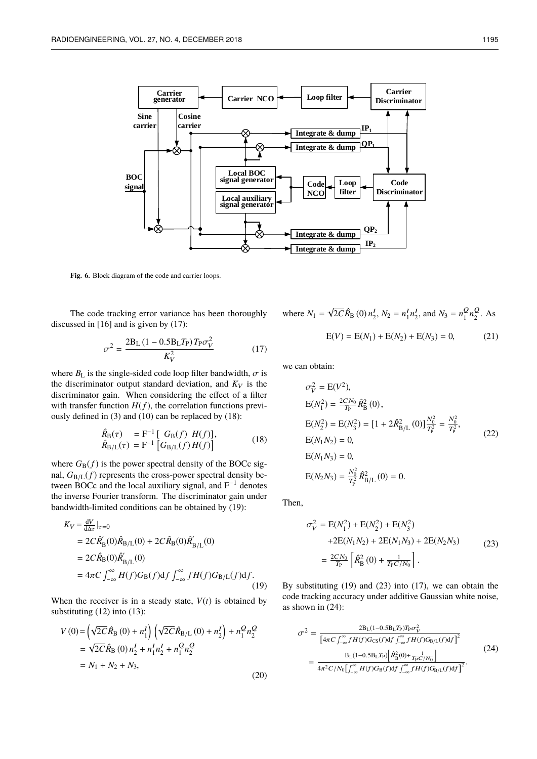

Fig. 6. Block diagram of the code and carrier loops.

The code tracking error variance has been thoroughly discussed in [16] and is given by (17):

$$
\sigma^2 = \frac{2B_L (1 - 0.5B_L T_P) T_P \sigma_V^2}{K_V^2}
$$
(17)

where  $B_L$  is the single-sided code loop filter bandwidth,  $\sigma$  is the discriminator output standard deviation, and  $K_V$  is the discriminator gain. When considering the effect of a filter with transfer function  $H(f)$ , the correlation functions previously defined in (3) and (10) can be replaced by (18):

$$
\hat{R}_{B}(\tau) = F^{-1} [G_{B}(f) H(f)], \n\hat{R}_{B/L}(\tau) = F^{-1} [G_{B/L}(f) H(f)]
$$
\n(18)

where  $G_{\text{B}}(f)$  is the power spectral density of the BOCc signal,  $G_{B/L}(f)$  represents the cross-power spectral density between BOCc and the local auxiliary signal, and  $F^{-1}$  denotes the inverse Fourier transform. The discriminator gain under bandwidth-limited conditions can be obtained by (19):

$$
K_V = \frac{dV}{d\Delta \tau}|_{\tau=0}
$$
  
=  $2C \hat{R}'_B(0) \hat{R}_{B/L}(0) + 2C \hat{R}_B(0) \hat{R}'_{B/L}(0)$   
=  $2C \hat{R}_B(0) \hat{R}'_{B/L}(0)$   
=  $4\pi C \int_{-\infty}^{\infty} H(f) G_B(f) df \int_{-\infty}^{\infty} f H(f) G_{B/L}(f) df.$  (19)

When the receiver is in a steady state,  $V(t)$  is obtained by substituting (12) into (13):

√

$$
V(0) = \left(\sqrt{2C}\hat{R}_{\text{B}}(0) + n_{1}^{I}\right) \left(\sqrt{2C}\hat{R}_{\text{B/L}}(0) + n_{2}^{I}\right) + n_{1}^{Q}n_{2}^{Q}
$$
  
=  $\sqrt{2C}\hat{R}_{\text{B}}(0) n_{2}^{I} + n_{1}^{I}n_{2}^{I} + n_{1}^{Q}n_{2}^{Q}$   
=  $N_{1} + N_{2} + N_{3}$ , (20)

where 
$$
N_1 = \sqrt{2C} \hat{R}_B(0) n_2^I
$$
,  $N_2 = n_1^I n_2^I$ , and  $N_3 = n_1^Q n_2^Q$ . As  

$$
E(V) = E(N_1) + E(N_2) + E(N_3) = 0,
$$
 (21)

we can obtain:

$$
\sigma_V^2 = E(V^2),
$$
  
\n
$$
E(N_1^2) = \frac{2CN_0}{T_P} \hat{R}_B^2(0),
$$
  
\n
$$
E(N_2^2) = E(N_3^2) = [1 + 2\hat{R}_{B/L}^2(0)] \frac{N_0^2}{T_P^2} = \frac{N_0^2}{T_P^2},
$$
  
\n
$$
E(N_1N_2) = 0,
$$
  
\n
$$
E(N_1N_3) = 0,
$$
  
\n
$$
E(N_2N_3) = \frac{N_0^2}{T_P^2} \hat{R}_{B/L}^2(0) = 0.
$$
  
\n(22)

Then,

$$
\sigma_V^2 = E(N_1^2) + E(N_2^2) + E(N_3^2) \n+2E(N_1N_2) + 2E(N_1N_3) + 2E(N_2N_3) \n= \frac{2CN_0}{T_{\rm P}} \left[ \hat{R}_{\rm B}^2(0) + \frac{1}{T_{\rm P}C/N_0} \right].
$$
\n(23)

By substituting (19) and (23) into (17), we can obtain the code tracking accuracy under additive Gaussian white noise, as shown in (24):

$$
\sigma^2 = \frac{2B_L(1-0.5B_L T_P)T_P \sigma_V^2}{\left[4\pi C \int_{-\infty}^{\infty} f H(f) G_{CS}(f) df \int_{-\infty}^{\infty} f H(f) G_{B/L}(f) df\right]^2}
$$
  
= 
$$
\frac{B_L(1-0.5B_L T_P) \left[\hat{R}_B^2(0) + \frac{1}{T_P C/N_0}\right]}{4\pi^2 C/N_0 \left[\int_{-\infty}^{\infty} H(f) G_B(f) df \int_{-\infty}^{\infty} f H(f) G_{B/L}(f) df\right]^2}.
$$
(24)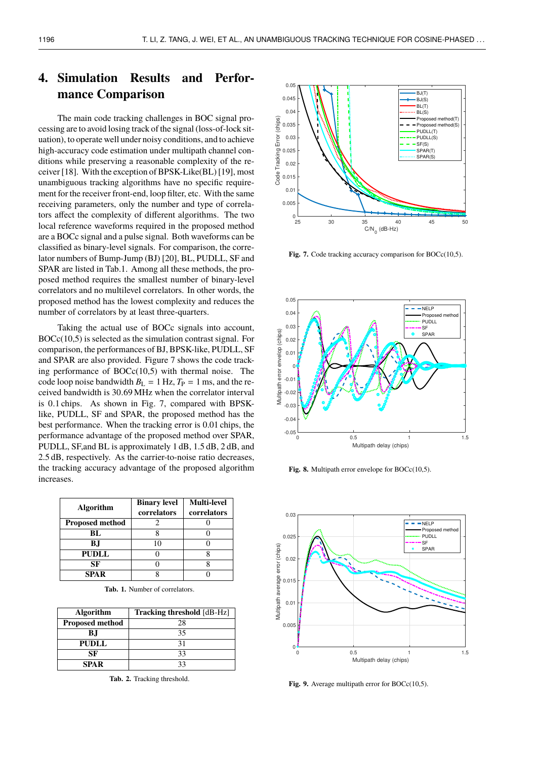# **4. Simulation Results and Performance Comparison**

The main code tracking challenges in BOC signal processing are to avoid losing track of the signal (loss-of-lock situation), to operate well under noisy conditions, and to achieve high-accuracy code estimation under multipath channel conditions while preserving a reasonable complexity of the receiver [18]. With the exception of BPSK-Like(BL) [19], most unambiguous tracking algorithms have no specific requirement for the receiver front-end, loop filter, etc. With the same receiving parameters, only the number and type of correlators affect the complexity of different algorithms. The two local reference waveforms required in the proposed method are a BOCc signal and a pulse signal. Both waveforms can be classified as binary-level signals. For comparison, the correlator numbers of Bump-Jump (BJ) [20], BL, PUDLL, SF and SPAR are listed in Tab.1. Among all these methods, the proposed method requires the smallest number of binary-level correlators and no multilevel correlators. In other words, the proposed method has the lowest complexity and reduces the number of correlators by at least three-quarters.

Taking the actual use of BOCc signals into account, BOCc(10,5) is selected as the simulation contrast signal. For comparison, the performances of BJ, BPSK-like, PUDLL, SF and SPAR are also provided. Figure 7 shows the code tracking performance of  $BOCc(10,5)$  with thermal noise. The code loop noise bandwidth  $B_{L} = 1$  Hz,  $T_{P} = 1$  ms, and the received bandwidth is <sup>30</sup>.<sup>69</sup> MHz when the correlator interval is <sup>0</sup>.<sup>1</sup> chips. As shown in Fig. 7, compared with BPSKlike, PUDLL, SF and SPAR, the proposed method has the best performance. When the tracking error is 0.01 chips, the performance advantage of the proposed method over SPAR, PUDLL, SF,and BL is approximately 1 dB, 1.5 dB, 2 dB, and 2.5 dB, respectively. As the carrier-to-noise ratio decreases, the tracking accuracy advantage of the proposed algorithm increases.

| <b>Algorithm</b>       | <b>Binary level</b><br>correlators | <b>Multi-level</b><br>correlators |
|------------------------|------------------------------------|-----------------------------------|
| <b>Proposed method</b> |                                    |                                   |
| BL                     |                                    |                                   |
| ВJ                     |                                    |                                   |
| <b>PUDLL</b>           |                                    |                                   |
| SF                     |                                    |                                   |
| SPA R                  |                                    |                                   |

Tab. 1. Number of correlators.

| <b>Algorithm</b>       | <b>Tracking threshold</b> [dB-Hz] |  |
|------------------------|-----------------------------------|--|
| <b>Proposed method</b> | 28                                |  |
| B.I                    | 35                                |  |
| <b>PUDLL</b>           | 31                                |  |
| SF                     | 33                                |  |
| <b>SPAR</b>            | 33                                |  |

**Tab. 2.** Tracking threshold.



Fig. 7. Code tracking accuracy comparison for BOCc(10,5).



Fig. 8. Multipath error envelope for BOCc(10,5).



Fig. 9. Average multipath error for BOCc(10,5).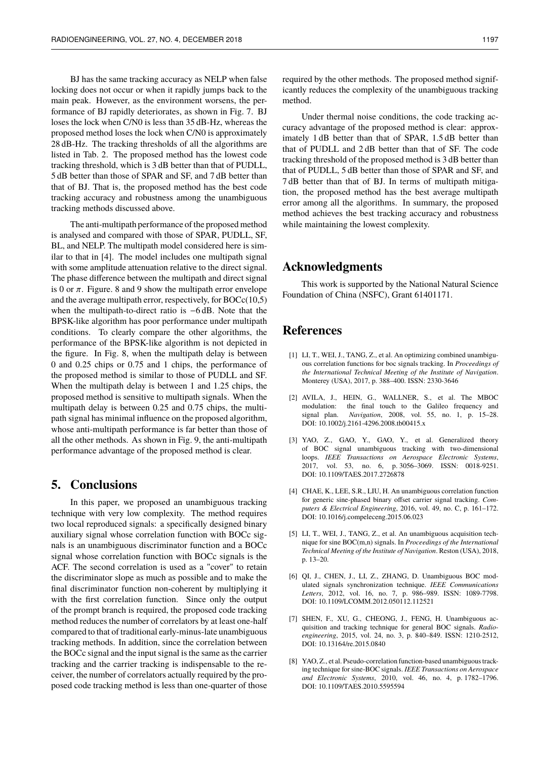BJ has the same tracking accuracy as NELP when false locking does not occur or when it rapidly jumps back to the main peak. However, as the environment worsens, the performance of BJ rapidly deteriorates, as shown in Fig. 7. BJ loses the lock when C/N0 is less than 35 dB-Hz, whereas the proposed method loses the lock when C/N0 is approximately 28 dB-Hz. The tracking thresholds of all the algorithms are listed in Tab. 2. The proposed method has the lowest code tracking threshold, which is 3 dB better than that of PUDLL, 5 dB better than those of SPAR and SF, and 7 dB better than that of BJ. That is, the proposed method has the best code tracking accuracy and robustness among the unambiguous tracking methods discussed above.

The anti-multipath performance of the proposed method is analysed and compared with those of SPAR, PUDLL, SF, BL, and NELP. The multipath model considered here is similar to that in [4]. The model includes one multipath signal with some amplitude attenuation relative to the direct signal. The phase difference between the multipath and direct signal is 0 or  $\pi$ . Figure. 8 and 9 show the multipath error envelope and the average multipath error, respectively, for BOCc(10,5) when the multipath-to-direct ratio is −6 dB. Note that the BPSK-like algorithm has poor performance under multipath conditions. To clearly compare the other algorithms, the performance of the BPSK-like algorithm is not depicted in the figure. In Fig. 8, when the multipath delay is between 0 and 0.25 chips or 0.75 and 1 chips, the performance of the proposed method is similar to those of PUDLL and SF. When the multipath delay is between 1 and 1.25 chips, the proposed method is sensitive to multipath signals. When the multipath delay is between 0.25 and 0.75 chips, the multipath signal has minimal influence on the proposed algorithm, whose anti-multipath performance is far better than those of all the other methods. As shown in Fig. 9, the anti-multipath performance advantage of the proposed method is clear.

#### **5. Conclusions**

In this paper, we proposed an unambiguous tracking technique with very low complexity. The method requires two local reproduced signals: a specifically designed binary auxiliary signal whose correlation function with BOCc signals is an unambiguous discriminator function and a BOCc signal whose correlation function with BOCc signals is the ACF. The second correlation is used as a "cover" to retain the discriminator slope as much as possible and to make the final discriminator function non-coherent by multiplying it with the first correlation function. Since only the output of the prompt branch is required, the proposed code tracking method reduces the number of correlators by at least one-half compared to that of traditional early-minus-late unambiguous tracking methods. In addition, since the correlation between the BOCc signal and the input signal is the same as the carrier tracking and the carrier tracking is indispensable to the receiver, the number of correlators actually required by the proposed code tracking method is less than one-quarter of those

Under thermal noise conditions, the code tracking accuracy advantage of the proposed method is clear: approximately 1 dB better than that of SPAR, 1.5 dB better than that of PUDLL and 2 dB better than that of SF. The code tracking threshold of the proposed method is 3 dB better than that of PUDLL, 5 dB better than those of SPAR and SF, and 7 dB better than that of BJ. In terms of multipath mitigation, the proposed method has the best average multipath error among all the algorithms. In summary, the proposed method achieves the best tracking accuracy and robustness while maintaining the lowest complexity.

### **Acknowledgments**

This work is supported by the National Natural Science Foundation of China (NSFC), Grant 61401171.

### **References**

method.

- [1] LI, T., WEI, J., TANG, Z., et al. An optimizing combined unambiguous correlation functions for boc signals tracking. In *Proceedings of the International Technical Meeting of the Institute of Navigation*. Monterey (USA), 2017, p. 388–400. ISSN: 2330-3646
- [2] AVILA, J., HEIN, G., WALLNER, S., et al. The MBOC modulation: the final touch to the Galileo frequency and signal plan. *Navigation*, 2008, vol. 55, no. 1, p. 15–28. DOI: 10.1002/j.2161-4296.2008.tb00415.x
- [3] YAO, Z., GAO, Y., GAO, Y., et al. Generalized theory of BOC signal unambiguous tracking with two-dimensional loops. *IEEE Transactions on Aerospace Electronic Systems*, 2017, vol. 53, no. 6, p. 3056–3069. ISSN: 0018-9251. DOI: 10.1109/TAES.2017.2726878
- [4] CHAE, K., LEE, S.R., LIU, H. An unambiguous correlation function for generic sine-phased binary offset carrier signal tracking. *Computers & Electrical Engineering*, 2016, vol. 49, no. C, p. 161–172. DOI: 10.1016/j.compeleceng.2015.06.023
- [5] LI, T., WEI, J., TANG, Z., et al. An unambiguous acquisition technique for sine BOC(m,n) signals. In *Proceedings of the International Technical Meeting of the Institute of Navigation*. Reston (USA), 2018, p. 13–20.
- [6] QI, J., CHEN, J., LI, Z., ZHANG, D. Unambiguous BOC modulated signals synchronization technique. *IEEE Communications Letters*, 2012, vol. 16, no. 7, p. 986–989. ISSN: 1089-7798. DOI: 10.1109/LCOMM.2012.050112.112521
- [7] SHEN, F., XU, G., CHEONG, J., FENG, H. Unambiguous acquisition and tracking technique for general BOC signals. *Radioengineering*, 2015, vol. 24, no. 3, p. 840–849. ISSN: 1210-2512, DOI: 10.13164/re.2015.0840
- [8] YAO, Z., et al. Pseudo-correlation function-based unambiguous tracking technique for sine-BOC signals. *IEEE Transactions on Aerospace and Electronic Systems*, 2010, vol. 46, no. 4, p. 1782–1796. DOI: 10.1109/TAES.2010.5595594